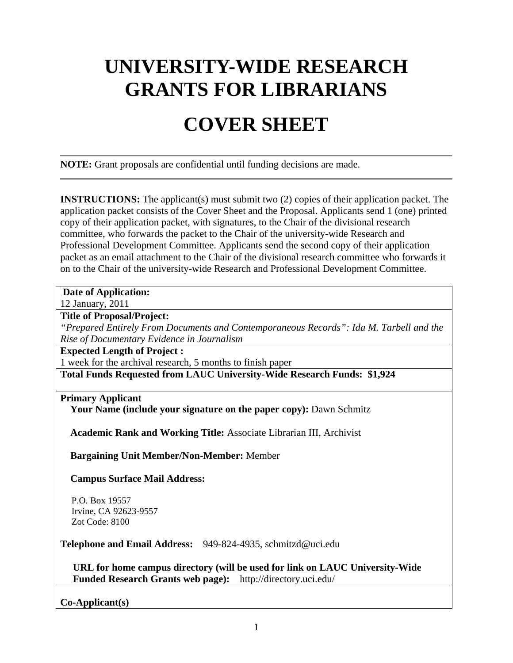# **UNIVERSITY-WIDE RESEARCH GRANTS FOR LIBRARIANS**

# **COVER SHEET**

**NOTE:** Grant proposals are confidential until funding decisions are made.

**INSTRUCTIONS:** The applicant(s) must submit two (2) copies of their application packet. The application packet consists of the Cover Sheet and the Proposal. Applicants send 1 (one) printed copy of their application packet, with signatures, to the Chair of the divisional research committee, who forwards the packet to the Chair of the university-wide Research and Professional Development Committee. Applicants send the second copy of their application packet as an email attachment to the Chair of the divisional research committee who forwards it on to the Chair of the university-wide Research and Professional Development Committee.

#### **Date of Application:**

12 January, 2011

**Title of Proposal/Project:** 

*"Prepared Entirely From Documents and Contemporaneous Records": Ida M. Tarbell and the Rise of Documentary Evidence in Journalism*

**Expected Length of Project :** 

1 week for the archival research, 5 months to finish paper

**Total Funds Requested from LAUC University-Wide Research Funds: \$1,924** 

**Primary Applicant** 

 **Your Name (include your signature on the paper copy):** Dawn Schmitz

 **Academic Rank and Working Title:** Associate Librarian III, Archivist

 **Bargaining Unit Member/Non-Member:** Member

 **Campus Surface Mail Address:** 

P.O. Box 19557 Irvine, CA 92623-9557 Zot Code: 8100

**Telephone and Email Address:** 949-824-4935, schmitzd@uci.edu

 **URL for home campus directory (will be used for link on LAUC University-Wide Funded Research Grants web page):** http://directory.uci.edu/

**Co-Applicant(s)**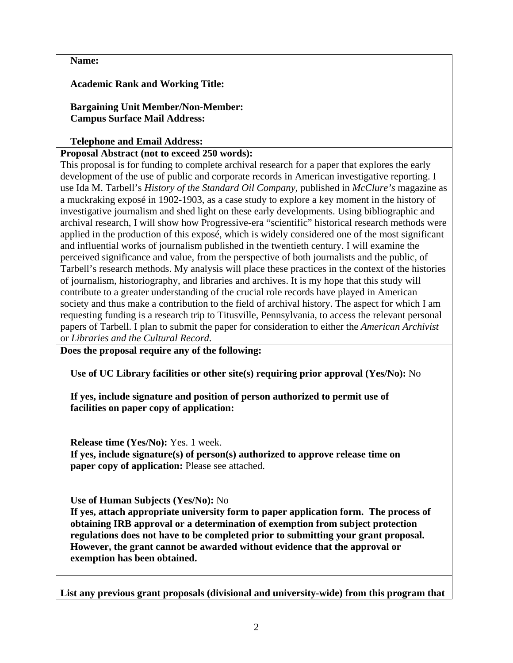#### **Name:**

#### **Academic Rank and Working Title:**

 **Bargaining Unit Member/Non-Member: Campus Surface Mail Address:** 

 **Telephone and Email Address:** 

#### **Proposal Abstract (not to exceed 250 words):**

This proposal is for funding to complete archival research for a paper that explores the early development of the use of public and corporate records in American investigative reporting. I use Ida M. Tarbell's *History of the Standard Oil Company,* published in *McClure's* magazine as a muckraking exposé in 1902-1903, as a case study to explore a key moment in the history of investigative journalism and shed light on these early developments. Using bibliographic and archival research, I will show how Progressive-era "scientific" historical research methods were applied in the production of this exposé, which is widely considered one of the most significant and influential works of journalism published in the twentieth century. I will examine the perceived significance and value, from the perspective of both journalists and the public, of Tarbell's research methods. My analysis will place these practices in the context of the histories of journalism, historiography, and libraries and archives. It is my hope that this study will contribute to a greater understanding of the crucial role records have played in American society and thus make a contribution to the field of archival history. The aspect for which I am requesting funding is a research trip to Titusville, Pennsylvania, to access the relevant personal papers of Tarbell. I plan to submit the paper for consideration to either the *American Archivist* or *Libraries and the Cultural Record*.

**Does the proposal require any of the following:** 

 **Use of UC Library facilities or other site(s) requiring prior approval (Yes/No):** No

 **If yes, include signature and position of person authorized to permit use of facilities on paper copy of application:** 

 **Release time (Yes/No):** Yes. 1 week.

 **If yes, include signature(s) of person(s) authorized to approve release time on paper copy of application:** Please see attached.

 **Use of Human Subjects (Yes/No):** No

 **If yes, attach appropriate university form to paper application form. The process of obtaining IRB approval or a determination of exemption from subject protection regulations does not have to be completed prior to submitting your grant proposal. However, the grant cannot be awarded without evidence that the approval or exemption has been obtained.** 

**List any previous grant proposals (divisional and university-wide) from this program that**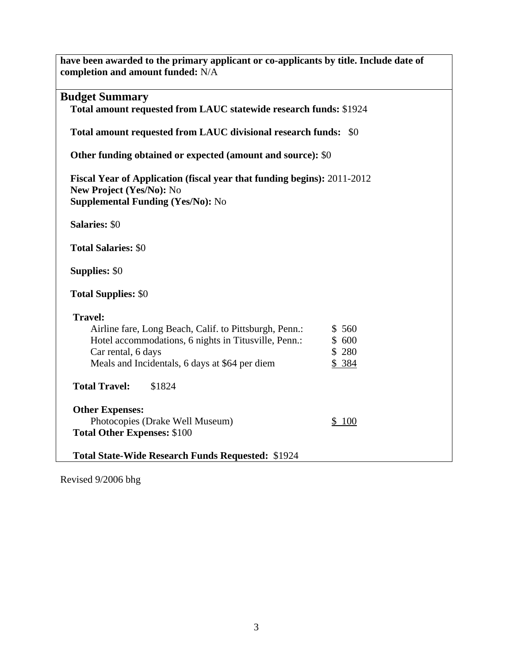| have been awarded to the primary applicant or co-applicants by title. Include date of<br>completion and amount funded: N/A                                                                               |                                    |
|----------------------------------------------------------------------------------------------------------------------------------------------------------------------------------------------------------|------------------------------------|
| <b>Budget Summary</b><br>Total amount requested from LAUC statewide research funds: \$1924                                                                                                               |                                    |
| Total amount requested from LAUC divisional research funds: \$0                                                                                                                                          |                                    |
| Other funding obtained or expected (amount and source): \$0                                                                                                                                              |                                    |
| Fiscal Year of Application (fiscal year that funding begins): 2011-2012<br>New Project (Yes/No): No<br><b>Supplemental Funding (Yes/No): No</b>                                                          |                                    |
| <b>Salaries: \$0</b>                                                                                                                                                                                     |                                    |
| <b>Total Salaries: \$0</b>                                                                                                                                                                               |                                    |
| <b>Supplies: \$0</b>                                                                                                                                                                                     |                                    |
| <b>Total Supplies: \$0</b>                                                                                                                                                                               |                                    |
| <b>Travel:</b><br>Airline fare, Long Beach, Calif. to Pittsburgh, Penn.:<br>Hotel accommodations, 6 nights in Titusville, Penn.:<br>Car rental, 6 days<br>Meals and Incidentals, 6 days at \$64 per diem | \$560<br>\$600<br>\$ 280<br>\$ 384 |
| <b>Total Travel:</b><br>\$1824                                                                                                                                                                           |                                    |
| <b>Other Expenses:</b><br>Photocopies (Drake Well Museum)<br><b>Total Other Expenses: \$100</b>                                                                                                          | \$100                              |
| <b>Total State-Wide Research Funds Requested: \$1924</b>                                                                                                                                                 |                                    |

Revised 9/2006 bhg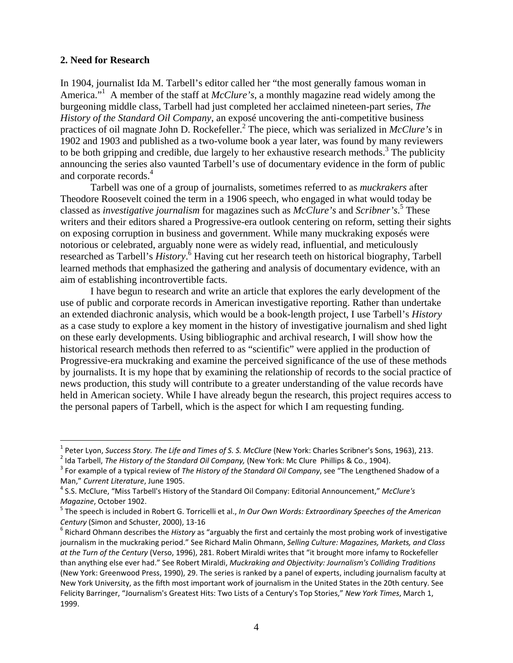#### **2. Need for Research**

 $\overline{a}$ 

In 1904, journalist Ida M. Tarbell's editor called her "the most generally famous woman in America.<sup>"1</sup> A member of the staff at *McClure's*, a monthly magazine read widely among the burgeoning middle class, Tarbell had just completed her acclaimed nineteen-part series, *The History of the Standard Oil Company*, an exposé uncovering the anti-competitive business practices of oil magnate John D. Rockefeller.2 The piece, which was serialized in *McClure's* in 1902 and 1903 and published as a two-volume book a year later, was found by many reviewers to be both gripping and credible, due largely to her exhaustive research methods.<sup>3</sup> The publicity announcing the series also vaunted Tarbell's use of documentary evidence in the form of public and corporate records.<sup>4</sup>

 Tarbell was one of a group of journalists, sometimes referred to as *muckrakers* after Theodore Roosevelt coined the term in a 1906 speech, who engaged in what would today be classed as *investigative journalism* for magazines such as *McClure's* and *Scribner's*. 5 These writers and their editors shared a Progressive-era outlook centering on reform, setting their sights on exposing corruption in business and government. While many muckraking exposés were notorious or celebrated, arguably none were as widely read, influential, and meticulously researched as Tarbell's *History*.<sup>6</sup> Having cut her research teeth on historical biography, Tarbell learned methods that emphasized the gathering and analysis of documentary evidence, with an aim of establishing incontrovertible facts.

 I have begun to research and write an article that explores the early development of the use of public and corporate records in American investigative reporting. Rather than undertake an extended diachronic analysis, which would be a book-length project, I use Tarbell's *History*  as a case study to explore a key moment in the history of investigative journalism and shed light on these early developments. Using bibliographic and archival research, I will show how the historical research methods then referred to as "scientific" were applied in the production of Progressive-era muckraking and examine the perceived significance of the use of these methods by journalists. It is my hope that by examining the relationship of records to the social practice of news production, this study will contribute to a greater understanding of the value records have held in American society. While I have already begun the research, this project requires access to the personal papers of Tarbell, which is the aspect for which I am requesting funding.

<sup>&</sup>lt;sup>1</sup> Peter Lyon, Success Story. The Life and Times of S. S. McClure (New York: Charles Scribner's Sons, 1963), 213.<br><sup>2</sup> Ida Tarbell, *The History of the Standard Oil Company*, (New York: Mc Clure Phillips & Co., 1904).<br><sup>3</sup>

Man," *Current Literature*, June 1905.<br><sup>4</sup> S.S. McClure, "Miss Tarbell's History of the Standard Oil Company: Editorial Announcement," *McClure's* 

*Magazine*, October 1902. <sup>5</sup> The speech is included in Robert G. Torricelli et al., *In Our Own Words: Extraordinary Speeches of the American*

*Century* (Simon and Schuster, 2000), 13-16<br><sup>6</sup> Richard Ohmann describes the *History* as "arguably the first and certainly the most probing work of investigative

journalism in the muckraking period." See Richard Malin Ohmann, *Selling Culture: Magazines, Markets, and Class at the Turn of the Century* (Verso, 1996), 281. Robert Miraldi writes that "it brought more infamy to Rockefeller than anything else ever had." See Robert Miraldi, *Muckraking and Objectivity: Journalism's Colliding Traditions* (New York: Greenwood Press, 1990), 29. The series is ranked by a panel of experts, including journalism faculty at New York University, as the fifth most important work of journalism in the United States in the 20th century. See Felicity Barringer, "Journalism's Greatest Hits: Two Lists of a Century's Top Stories," *New York Times*, March 1, 1999.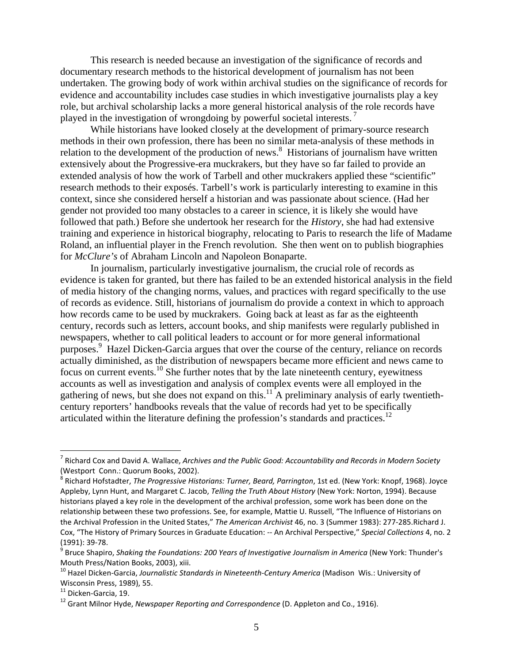This research is needed because an investigation of the significance of records and documentary research methods to the historical development of journalism has not been undertaken. The growing body of work within archival studies on the significance of records for evidence and accountability includes case studies in which investigative journalists play a key role, but archival scholarship lacks a more general historical analysis of the role records have played in the investigation of wrongdoing by powerful societal interests.<sup>7</sup>

 While historians have looked closely at the development of primary-source research methods in their own profession, there has been no similar meta-analysis of these methods in relation to the development of the production of news.<sup>8</sup> Historians of journalism have written extensively about the Progressive-era muckrakers, but they have so far failed to provide an extended analysis of how the work of Tarbell and other muckrakers applied these "scientific" research methods to their exposés. Tarbell's work is particularly interesting to examine in this context, since she considered herself a historian and was passionate about science. (Had her gender not provided too many obstacles to a career in science, it is likely she would have followed that path.) Before she undertook her research for the *History*, she had had extensive training and experience in historical biography, relocating to Paris to research the life of Madame Roland, an influential player in the French revolution. She then went on to publish biographies for *McClure's* of Abraham Lincoln and Napoleon Bonaparte.

In journalism, particularly investigative journalism, the crucial role of records as evidence is taken for granted, but there has failed to be an extended historical analysis in the field of media history of the changing norms, values, and practices with regard specifically to the use of records as evidence. Still, historians of journalism do provide a context in which to approach how records came to be used by muckrakers. Going back at least as far as the eighteenth century, records such as letters, account books, and ship manifests were regularly published in newspapers, whether to call political leaders to account or for more general informational purposes.<sup>9</sup> Hazel Dicken-Garcia argues that over the course of the century, reliance on records actually diminished, as the distribution of newspapers became more efficient and news came to focus on current events.<sup>10</sup> She further notes that by the late nineteenth century, eyewitness accounts as well as investigation and analysis of complex events were all employed in the gathering of news, but she does not expand on this.<sup>11</sup> A preliminary analysis of early twentiethcentury reporters' handbooks reveals that the value of records had yet to be specifically articulated within the literature defining the profession's standards and practices.<sup>12</sup>

1

<sup>7</sup> Richard Cox and David A. Wallace, *Archives and the Public Good: Accountability and Records in Modern Society* (Westport Conn.: Quorum Books, 2002).<br><sup>8</sup> Richard Hofstadter, *The Progressive Historians: Turner, Beard, Parrington, 1st ed. (New York: Knopf, 1968). Joyce* 

Appleby, Lynn Hunt, and Margaret C. Jacob, *Telling the Truth About History* (New York: Norton, 1994). Because historians played a key role in the development of the archival profession, some work has been done on the relationship between these two professions. See, for example, Mattie U. Russell, "The Influence of Historians on the Archival Profession in the United States," *The American Archivist* 46, no. 3 (Summer 1983): 277‐285.Richard J. Cox, "The History of Primary Sources in Graduate Education: ‐‐ An Archival Perspective," *Special Collections* 4, no. 2 (1991): <sup>39</sup>‐78. <sup>9</sup> Bruce Shapiro, *Shaking the Foundations: <sup>200</sup> Years of Investigative Journalism in America* (New York: Thunder's

Mouth Press/Nation Books, 2003), xiii.<br><sup>10</sup> Hazel Dicken-Garcia, *Journalistic Standards in Nineteenth-Century America* (Madison Wis.: University of

Wisconsin Press, 1989), 55.<br><sup>11</sup> Dicken-Garcia, 19.<br><sup>12</sup> Grant Milnor Hyde, *Newspaper Reporting and Correspondence* (D. Appleton and Co., 1916).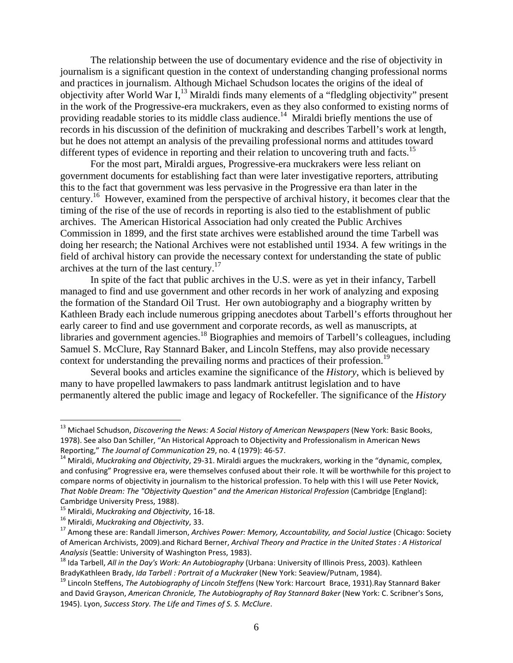The relationship between the use of documentary evidence and the rise of objectivity in journalism is a significant question in the context of understanding changing professional norms and practices in journalism. Although Michael Schudson locates the origins of the ideal of objectivity after World War I,  $^{13}$  Miraldi finds many elements of a "fledgling objectivity" present in the work of the Progressive-era muckrakers, even as they also conformed to existing norms of providing readable stories to its middle class audience.<sup>14</sup> Miraldi briefly mentions the use of records in his discussion of the definition of muckraking and describes Tarbell's work at length, but he does not attempt an analysis of the prevailing professional norms and attitudes toward different types of evidence in reporting and their relation to uncovering truth and facts.<sup>15</sup>

For the most part, Miraldi argues, Progressive-era muckrakers were less reliant on government documents for establishing fact than were later investigative reporters, attributing this to the fact that government was less pervasive in the Progressive era than later in the century.16 However, examined from the perspective of archival history, it becomes clear that the timing of the rise of the use of records in reporting is also tied to the establishment of public archives. The American Historical Association had only created the Public Archives Commission in 1899, and the first state archives were established around the time Tarbell was doing her research; the National Archives were not established until 1934. A few writings in the field of archival history can provide the necessary context for understanding the state of public archives at the turn of the last century.<sup>17</sup>

In spite of the fact that public archives in the U.S. were as yet in their infancy, Tarbell managed to find and use government and other records in her work of analyzing and exposing the formation of the Standard Oil Trust. Her own autobiography and a biography written by Kathleen Brady each include numerous gripping anecdotes about Tarbell's efforts throughout her early career to find and use government and corporate records, as well as manuscripts, at libraries and government agencies.<sup>18</sup> Biographies and memoirs of Tarbell's colleagues, including Samuel S. McClure, Ray Stannard Baker, and Lincoln Steffens, may also provide necessary context for understanding the prevailing norms and practices of their profession.<sup>19</sup>

Several books and articles examine the significance of the *History*, which is believed by many to have propelled lawmakers to pass landmark antitrust legislation and to have permanently altered the public image and legacy of Rockefeller. The significance of the *History*

 $\overline{a}$ 

<sup>13</sup> Michael Schudson, *Discovering the News: A Social History of American Newspapers* (New York: Basic Books, 1978). See also Dan Schiller, "An Historical Approach to Objectivity and Professionalism in American News Reporting," The Journal of Communication 29, no. 4 (1979): 46-57.<br><sup>14</sup> Miraldi, *Muckraking and Objectivity*, 29-31. Miraldi argues the muckrakers, working in the "dynamic, complex,

and confusing" Progressive era, were themselves confused about their role. It will be worthwhile for this project to compare norms of objectivity in journalism to the historical profession. To help with this I will use Peter Novick, *That Noble Dream: The "Objectivity Question" and the American Historical Profession* (Cambridge [England]: Cambridge University Press, 1988).<br><sup>15</sup> Miraldi, *Muckraking and Objectivity*, 16-18.<br><sup>16</sup> Miraldi, *Muckraking and Objectivity*, 33.<br><sup>17</sup> Among these are: Randall Jimerson, *Archives Power: Memory, Accountability, and Soc* 

of American Archivists, 2009).and Richard Berner, *Archival Theory and Practice in the United States : A Historical*

*Analysis* (Seattle: University of Washington Press, 1983).<br><sup>18</sup> Ida Tarbell, *All in the Day's Work: An Autobiography* (Urbana: University of Illinois Press, 2003). Kathleen<br>BradyKathleen Brady, *Ida Tarbell : Portrait of* 

<sup>&</sup>lt;sup>19</sup> Lincoln Steffens, The Autobiography of Lincoln Steffens (New York: Harcourt Brace, 1931). Ray Stannard Baker and David Grayson, *American Chronicle, The Autobiography of Ray Stannard Baker* (New York: C. Scribner's Sons, 1945). Lyon, *Success Story. The Life and Times of S. S. McClure*.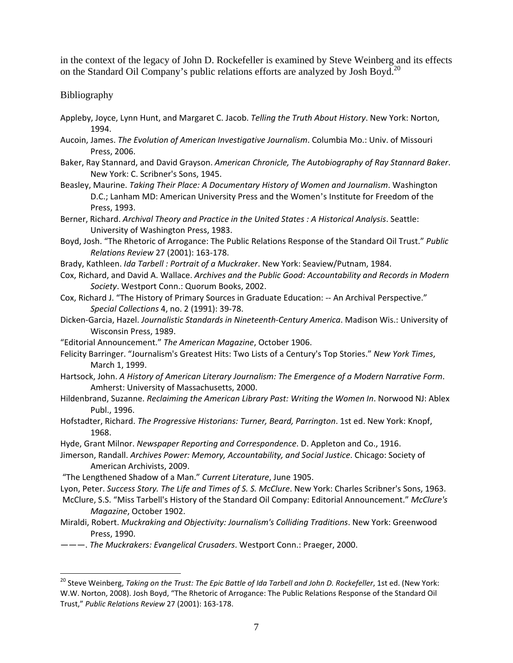in the context of the legacy of John D. Rockefeller is examined by Steve Weinberg and its effects on the Standard Oil Company's public relations efforts are analyzed by Josh Boyd.<sup>20</sup>

#### Bibliography

 $\overline{a}$ 

- Appleby, Joyce, Lynn Hunt, and Margaret C. Jacob. *Telling the Truth About History*. New York: Norton, 1994.
- Aucoin, James. *The Evolution of American Investigative Journalism*. Columbia Mo.: Univ. of Missouri Press, 2006.
- Baker, Ray Stannard, and David Grayson. *American Chronicle, The Autobiography of Ray Stannard Baker*. New York: C. Scribner's Sons, 1945.
- Beasley, Maurine. *Taking Their Place: A Documentary History of Women and Journalism*. Washington D.C.; Lanham MD: American University Press and the Women's Institute for Freedom of the Press, 1993.
- Berner, Richard. *Archival Theory and Practice in the United States : A Historical Analysis*. Seattle: University of Washington Press, 1983.
- Boyd, Josh. "The Rhetoric of Arrogance: The Public Relations Response of the Standard Oil Trust." *Public Relations Review* 27 (2001): 163‐178.
- Brady, Kathleen. *Ida Tarbell : Portrait of a Muckraker*. New York: Seaview/Putnam, 1984.
- Cox, Richard, and David A. Wallace. *Archives and the Public Good: Accountability and Records in Modern Society*. Westport Conn.: Quorum Books, 2002.
- Cox, Richard J. "The History of Primary Sources in Graduate Education: ‐‐ An Archival Perspective." *Special Collections* 4, no. 2 (1991): 39‐78.
- Dicken‐Garcia, Hazel. *Journalistic Standards in Nineteenth‐Century America*. Madison Wis.: University of Wisconsin Press, 1989.
- "Editorial Announcement." *The American Magazine*, October 1906.
- Felicity Barringer. "Journalism's Greatest Hits: Two Lists of a Century's Top Stories." *New York Times*, March 1, 1999.
- Hartsock, John. *A History of American Literary Journalism: The Emergence of a Modern Narrative Form*. Amherst: University of Massachusetts, 2000.
- Hildenbrand, Suzanne. *Reclaiming the American Library Past: Writing the Women In*. Norwood NJ: Ablex Publ., 1996.
- Hofstadter, Richard. *The Progressive Historians: Turner, Beard, Parrington*. 1st ed. New York: Knopf, 1968.
- Hyde, Grant Milnor. *Newspaper Reporting and Correspondence*. D. Appleton and Co., 1916.
- Jimerson, Randall. *Archives Power: Memory, Accountability, and Social Justice*. Chicago: Society of American Archivists, 2009.
- "The Lengthened Shadow of a Man." *Current Literature*, June 1905.
- Lyon, Peter. *Success Story. The Life and Times of S. S. McClure*. New York: Charles Scribner's Sons, 1963.
- McClure, S.S. "Miss Tarbell's History of the Standard Oil Company: Editorial Announcement." *McClure's Magazine*, October 1902.
- Miraldi, Robert. *Muckraking and Objectivity: Journalism's Colliding Traditions*. New York: Greenwood Press, 1990.
- ———. *The Muckrakers: Evangelical Crusaders*. Westport Conn.: Praeger, 2000.

<sup>20</sup> Steve Weinberg, *Taking on the Trust: The Epic Battle of Ida Tarbell and John D. Rockefeller*, 1st ed. (New York: W.W. Norton, 2008). Josh Boyd, "The Rhetoric of Arrogance: The Public Relations Response of the Standard Oil Trust," *Public Relations Review* 27 (2001): 163‐178.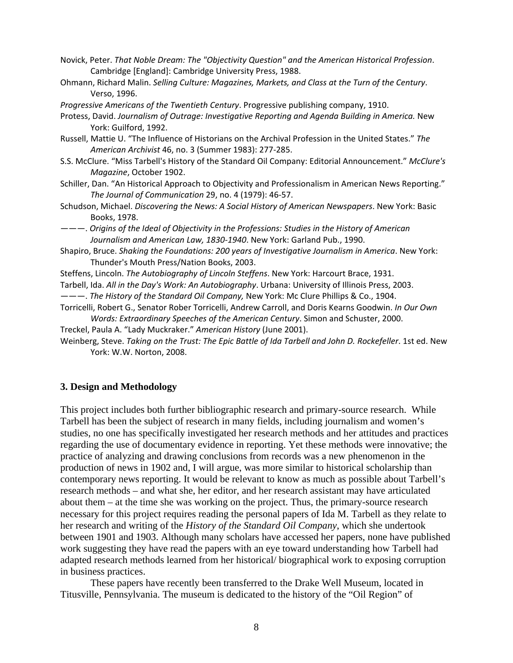- Novick, Peter. *That Noble Dream: The "Objectivity Question" and the American Historical Profession*. Cambridge [England]: Cambridge University Press, 1988.
- Ohmann, Richard Malin. *Selling Culture: Magazines, Markets, and Class at the Turn of the Century*. Verso, 1996.
- *Progressive Americans of the Twentieth Century*. Progressive publishing company, 1910.
- Protess, David. *Journalism of Outrage: Investigative Reporting and Agenda Building in America.* New York: Guilford, 1992.
- Russell, Mattie U. "The Influence of Historians on the Archival Profession in the United States." *The American Archivist* 46, no. 3 (Summer 1983): 277‐285.
- S.S. McClure. "Miss Tarbell's History of the Standard Oil Company: Editorial Announcement." *McClure's Magazine*, October 1902.
- Schiller, Dan. "An Historical Approach to Objectivity and Professionalism in American News Reporting." *The Journal of Communication* 29, no. 4 (1979): 46‐57.
- Schudson, Michael. *Discovering the News: A Social History of American Newspapers*. New York: Basic Books, 1978.
- ———. *Origins of the Ideal of Objectivity in the Professions: Studies in the History of American Journalism and American Law, 1830‐1940*. New York: Garland Pub., 1990.
- Shapiro, Bruce. *Shaking the Foundations: 200 years of Investigative Journalism in America*. New York: Thunder's Mouth Press/Nation Books, 2003.
- Steffens, Lincoln. *The Autobiography of Lincoln Steffens*. New York: Harcourt Brace, 1931.
- Tarbell, Ida. *All in the Day's Work: An Autobiography*. Urbana: University of Illinois Press, 2003.
- ———. *The History of the Standard Oil Company,* New York: Mc Clure Phillips & Co., 1904.
- Torricelli, Robert G., Senator Rober Torricelli, Andrew Carroll, and Doris Kearns Goodwin. *In Our Own Words: Extraordinary Speeches of the American Century*. Simon and Schuster, 2000.
- Treckel, Paula A. "Lady Muckraker." *American History* (June 2001).
- Weinberg, Steve. *Taking on the Trust: The Epic Battle of Ida Tarbell and John D. Rockefeller*. 1st ed. New York: W.W. Norton, 2008.

#### **3. Design and Methodology**

This project includes both further bibliographic research and primary-source research. While Tarbell has been the subject of research in many fields, including journalism and women's studies, no one has specifically investigated her research methods and her attitudes and practices regarding the use of documentary evidence in reporting. Yet these methods were innovative; the practice of analyzing and drawing conclusions from records was a new phenomenon in the production of news in 1902 and, I will argue, was more similar to historical scholarship than contemporary news reporting. It would be relevant to know as much as possible about Tarbell's research methods – and what she, her editor, and her research assistant may have articulated about them – at the time she was working on the project. Thus, the primary-source research necessary for this project requires reading the personal papers of Ida M. Tarbell as they relate to her research and writing of the *History of the Standard Oil Company*, which she undertook between 1901 and 1903. Although many scholars have accessed her papers, none have published work suggesting they have read the papers with an eye toward understanding how Tarbell had adapted research methods learned from her historical/ biographical work to exposing corruption in business practices.

These papers have recently been transferred to the Drake Well Museum, located in Titusville, Pennsylvania. The museum is dedicated to the history of the "Oil Region" of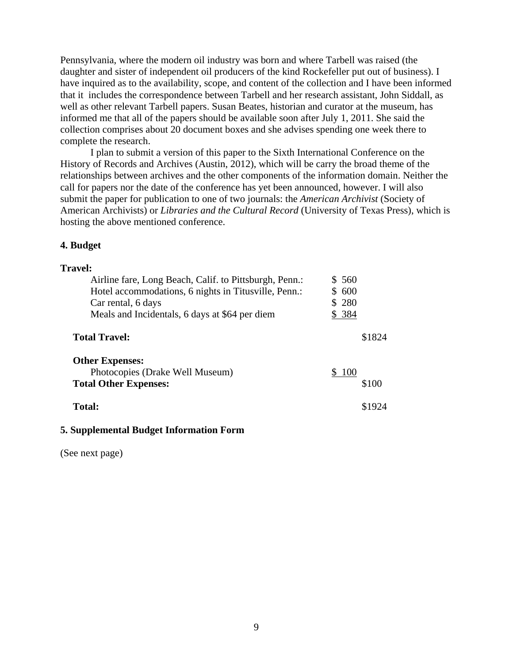Pennsylvania, where the modern oil industry was born and where Tarbell was raised (the daughter and sister of independent oil producers of the kind Rockefeller put out of business). I have inquired as to the availability, scope, and content of the collection and I have been informed that it includes the correspondence between Tarbell and her research assistant, John Siddall, as well as other relevant Tarbell papers. Susan Beates, historian and curator at the museum, has informed me that all of the papers should be available soon after July 1, 2011. She said the collection comprises about 20 document boxes and she advises spending one week there to complete the research.

I plan to submit a version of this paper to the Sixth International Conference on the History of Records and Archives (Austin, 2012), which will be carry the broad theme of the relationships between archives and the other components of the information domain. Neither the call for papers nor the date of the conference has yet been announced, however. I will also submit the paper for publication to one of two journals: the *American Archivist* (Society of American Archivists) or *Libraries and the Cultural Record* (University of Texas Press), which is hosting the above mentioned conference.

#### **4. Budget**

| <b>Travel:</b>                                         |        |        |
|--------------------------------------------------------|--------|--------|
| Airline fare, Long Beach, Calif. to Pittsburgh, Penn.: | \$ 560 |        |
| Hotel accommodations, 6 nights in Titusville, Penn.:   | \$ 600 |        |
| Car rental, 6 days                                     | \$280  |        |
| Meals and Incidentals, 6 days at \$64 per diem         | \$ 384 |        |
| <b>Total Travel:</b>                                   |        | \$1824 |
| <b>Other Expenses:</b>                                 |        |        |
| Photocopies (Drake Well Museum)                        | \$100  |        |
| <b>Total Other Expenses:</b>                           |        | \$100  |
| <b>Total:</b>                                          |        | \$1924 |

#### **5. Supplemental Budget Information Form**

(See next page)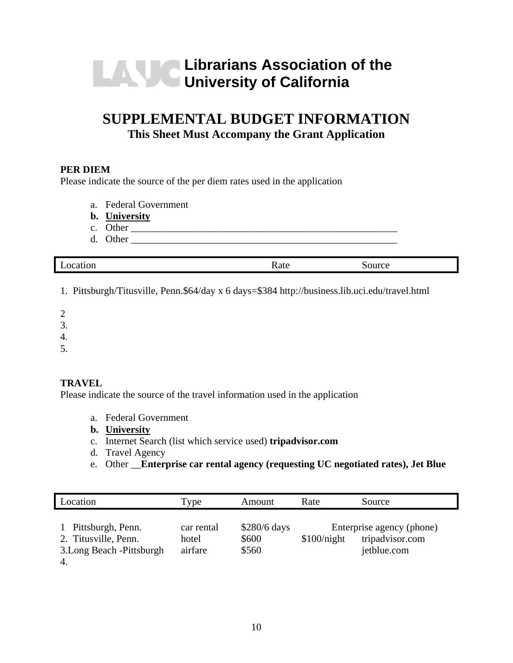# **Librarians Association of the University of California**

# **SUPPLEMENTAL BUDGET INFORMATION This Sheet Must Accompany the Grant Application**

#### **PER DIEM**

Please indicate the source of the per diem rates used in the application

- a. Federal Government
- **b. University**
- c. Other \_\_\_\_\_\_\_\_\_\_\_\_\_\_\_\_\_\_\_\_\_\_\_\_\_\_\_\_\_\_\_\_\_\_\_\_\_\_\_\_\_\_\_\_\_\_\_\_\_\_\_\_\_
- d. Other \_\_\_\_\_\_\_\_\_\_\_\_\_\_\_\_\_\_\_\_\_\_\_\_\_\_\_\_\_\_\_\_\_\_\_\_\_\_\_\_\_\_\_\_\_\_\_\_\_\_\_\_\_

| $\sim$ | ւււ   | . |  |
|--------|-------|---|--|
|        | $  -$ |   |  |
|        |       |   |  |

1. Pittsburgh/Titusville, Penn.\$64/day x 6 days=\$384 http://business.lib.uci.edu/travel.html

- 2
- 3.
- 4.
- 5.

#### **TRAVEL**

Please indicate the source of the travel information used in the application

- a. Federal Government
- **b. University**
- c. Internet Search (list which service used) **tripadvisor.com**
- d. Travel Agency
- e. Other \_\_**Enterprise car rental agency (requesting UC negotiated rates), Jet Blue**

| Location                   | Type       | Amount        | Rate        | Source                    |
|----------------------------|------------|---------------|-------------|---------------------------|
| Pittsburgh, Penn.          | car rental | $$280/6$ days | \$100/night | Enterprise agency (phone) |
| 2. Titusville, Penn.       | hotel      | \$600         |             | tripadvisor.com           |
| 3. Long Beach - Pittsburgh | airfare    | \$560         |             | jetblue.com               |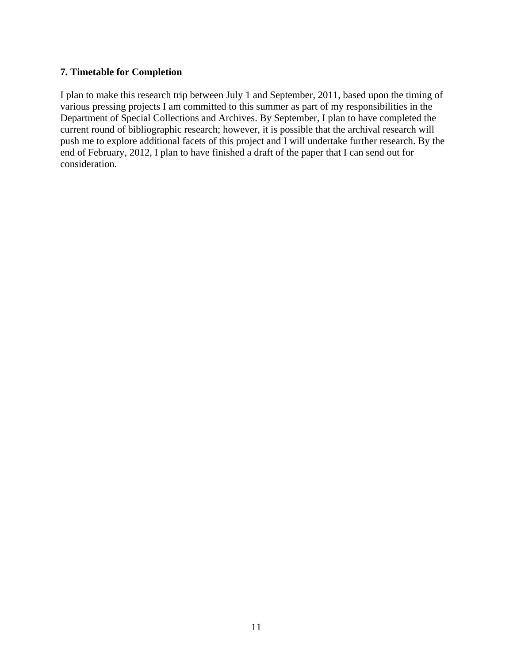#### **7. Timetable for Completion**

I plan to make this research trip between July 1 and September, 2011, based upon the timing of various pressing projects I am committed to this summer as part of my responsibilities in the Department of Special Collections and Archives. By September, I plan to have completed the current round of bibliographic research; however, it is possible that the archival research will push me to explore additional facets of this project and I will undertake further research. By the end of February, 2012, I plan to have finished a draft of the paper that I can send out for consideration.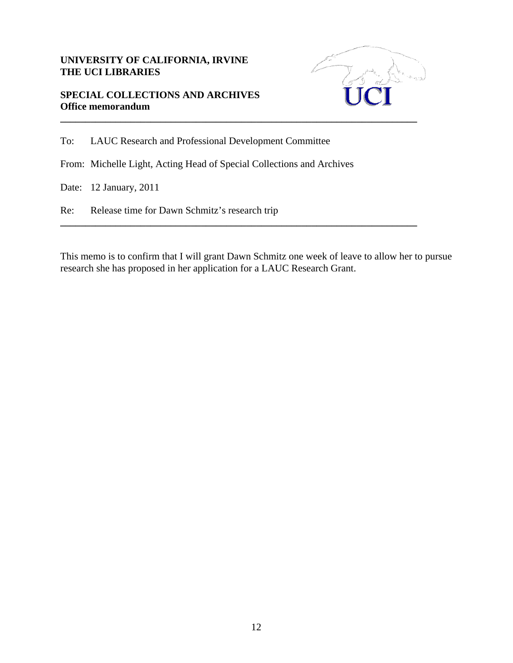#### **UNIVERSITY OF CALIFORNIA, IRVINE THE UCI LIBRARIES**

### **SPECIAL COLLECTIONS AND ARCHIVES Office memorandum**



To: LAUC Research and Professional Development Committee

From: Michelle Light, Acting Head of Special Collections and Archives

**\_\_\_\_\_\_\_\_\_\_\_\_\_\_\_\_\_\_\_\_\_\_\_\_\_\_\_\_\_\_\_\_\_\_\_\_\_\_\_\_\_\_\_\_\_\_\_\_\_\_\_\_\_\_\_\_\_\_\_\_\_\_\_\_\_\_\_\_\_\_\_**

**\_\_\_\_\_\_\_\_\_\_\_\_\_\_\_\_\_\_\_\_\_\_\_\_\_\_\_\_\_\_\_\_\_\_\_\_\_\_\_\_\_\_\_\_\_\_\_\_\_\_\_\_\_\_\_\_\_\_\_\_\_\_\_\_\_\_\_\_\_\_\_**

Date: 12 January, 2011

Re: Release time for Dawn Schmitz's research trip

This memo is to confirm that I will grant Dawn Schmitz one week of leave to allow her to pursue research she has proposed in her application for a LAUC Research Grant.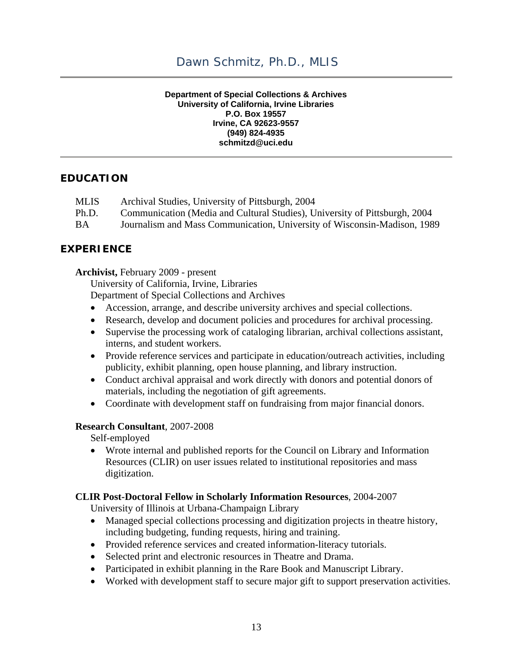# Dawn Schmitz, Ph.D., MLIS

#### **Department of Special Collections & Archives University of California, Irvine Libraries P.O. Box 19557 Irvine, CA 92623-9557 (949) 824-4935 schmitzd@uci.edu**

#### **EDUCATION**

| MLIS  | Archival Studies, University of Pittsburgh, 2004                           |
|-------|----------------------------------------------------------------------------|
| Ph.D. | Communication (Media and Cultural Studies), University of Pittsburgh, 2004 |
| ΒA    | Journalism and Mass Communication, University of Wisconsin-Madison, 1989   |

#### **EXPERIENCE**

**Archivist,** February 2009 - present

University of California, Irvine, Libraries

Department of Special Collections and Archives

- Accession, arrange, and describe university archives and special collections.
- Research, develop and document policies and procedures for archival processing.
- Supervise the processing work of cataloging librarian, archival collections assistant, interns, and student workers.
- Provide reference services and participate in education/outreach activities, including publicity, exhibit planning, open house planning, and library instruction.
- Conduct archival appraisal and work directly with donors and potential donors of materials, including the negotiation of gift agreements.
- Coordinate with development staff on fundraising from major financial donors.

#### **Research Consultant**, 2007-2008

Self-employed

 Wrote internal and published reports for the Council on Library and Information Resources (CLIR) on user issues related to institutional repositories and mass digitization.

#### **CLIR Post-Doctoral Fellow in Scholarly Information Resources**, 2004-2007

University of Illinois at Urbana-Champaign Library

- Managed special collections processing and digitization projects in theatre history, including budgeting, funding requests, hiring and training.
- Provided reference services and created information-literacy tutorials.
- Selected print and electronic resources in Theatre and Drama.
- Participated in exhibit planning in the Rare Book and Manuscript Library.
- Worked with development staff to secure major gift to support preservation activities.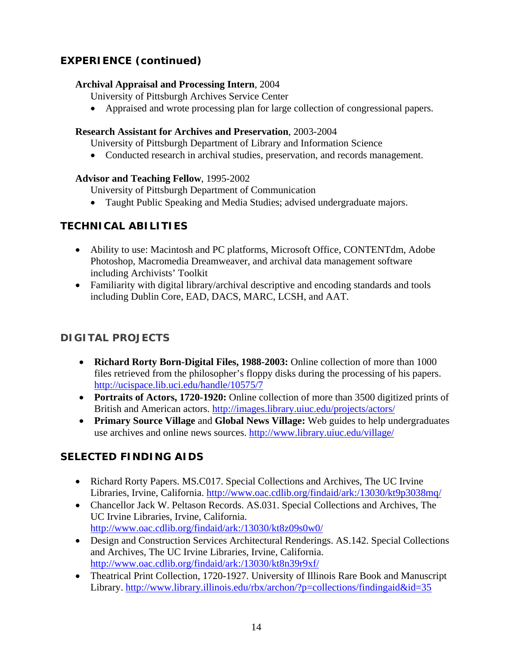# **EXPERIENCE (continued)**

#### **Archival Appraisal and Processing Intern**, 2004

University of Pittsburgh Archives Service Center

Appraised and wrote processing plan for large collection of congressional papers.

#### **Research Assistant for Archives and Preservation**, 2003-2004

University of Pittsburgh Department of Library and Information Science

Conducted research in archival studies, preservation, and records management.

#### **Advisor and Teaching Fellow**, 1995-2002

University of Pittsburgh Department of Communication

Taught Public Speaking and Media Studies; advised undergraduate majors.

# **TECHNICAL ABILITIES**

- Ability to use: Macintosh and PC platforms, Microsoft Office, CONTENTdm, Adobe Photoshop, Macromedia Dreamweaver, and archival data management software including Archivists' Toolkit
- Familiarity with digital library/archival descriptive and encoding standards and tools including Dublin Core, EAD, DACS, MARC, LCSH, and AAT.

## **DIGITAL PROJECTS**

- **Richard Rorty Born-Digital Files, 1988-2003:** Online collection of more than 1000 files retrieved from the philosopher's floppy disks during the processing of his papers. http://ucispace.lib.uci.edu/handle/10575/7
- Portraits of Actors, 1720-1920: Online collection of more than 3500 digitized prints of British and American actors. http://images.library.uiuc.edu/projects/actors/
- **Primary Source Village** and **Global News Village:** Web guides to help undergraduates use archives and online news sources. http://www.library.uiuc.edu/village/

## **SELECTED FINDING AIDS**

- Richard Rorty Papers. MS.C017. Special Collections and Archives, The UC Irvine Libraries, Irvine, California. http://www.oac.cdlib.org/findaid/ark:/13030/kt9p3038mq/
- Chancellor Jack W. Peltason Records. AS.031. Special Collections and Archives, The UC Irvine Libraries, Irvine, California. http://www.oac.cdlib.org/findaid/ark:/13030/kt8z09s0w0/
- Design and Construction Services Architectural Renderings. AS.142. Special Collections and Archives, The UC Irvine Libraries, Irvine, California. http://www.oac.cdlib.org/findaid/ark:/13030/kt8n39r9xf/
- Theatrical Print Collection, 1720-1927. University of Illinois Rare Book and Manuscript Library. http://www.library.illinois.edu/rbx/archon/?p=collections/findingaid&id=35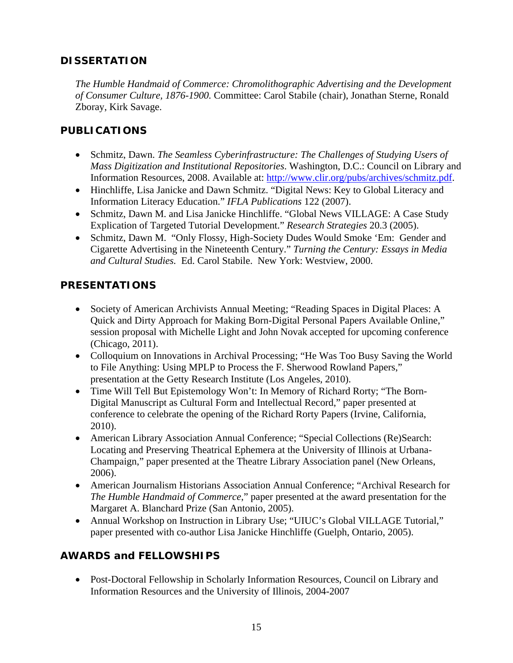# **DISSERTATION**

*The Humble Handmaid of Commerce: Chromolithographic Advertising and the Development of Consumer Culture, 1876-1900.* Committee: Carol Stabile (chair), Jonathan Sterne, Ronald Zboray, Kirk Savage.

# **PUBLICATIONS**

- Schmitz, Dawn. *The Seamless Cyberinfrastructure: The Challenges of Studying Users of Mass Digitization and Institutional Repositories*. Washington, D.C.: Council on Library and Information Resources, 2008. Available at: http://www.clir.org/pubs/archives/schmitz.pdf.
- Hinchliffe, Lisa Janicke and Dawn Schmitz. "Digital News: Key to Global Literacy and Information Literacy Education." *IFLA Publications* 122 (2007).
- Schmitz, Dawn M. and Lisa Janicke Hinchliffe. "Global News VILLAGE: A Case Study Explication of Targeted Tutorial Development." *Research Strategies* 20.3 (2005).
- Schmitz, Dawn M. "Only Flossy, High-Society Dudes Would Smoke 'Em: Gender and Cigarette Advertising in the Nineteenth Century." *Turning the Century: Essays in Media and Cultural Studies.* Ed. Carol Stabile. New York: Westview, 2000.

# **PRESENTATIONS**

- Society of American Archivists Annual Meeting; "Reading Spaces in Digital Places: A Quick and Dirty Approach for Making Born-Digital Personal Papers Available Online," session proposal with Michelle Light and John Novak accepted for upcoming conference (Chicago, 2011).
- Colloquium on Innovations in Archival Processing; "He Was Too Busy Saving the World to File Anything: Using MPLP to Process the F. Sherwood Rowland Papers," presentation at the Getty Research Institute (Los Angeles, 2010).
- Time Will Tell But Epistemology Won't: In Memory of Richard Rorty; "The Born-Digital Manuscript as Cultural Form and Intellectual Record," paper presented at conference to celebrate the opening of the Richard Rorty Papers (Irvine, California, 2010).
- American Library Association Annual Conference; "Special Collections (Re)Search: Locating and Preserving Theatrical Ephemera at the University of Illinois at Urbana-Champaign," paper presented at the Theatre Library Association panel (New Orleans, 2006).
- American Journalism Historians Association Annual Conference; "Archival Research for *The Humble Handmaid of Commerce*," paper presented at the award presentation for the Margaret A. Blanchard Prize (San Antonio, 2005).
- Annual Workshop on Instruction in Library Use; "UIUC's Global VILLAGE Tutorial," paper presented with co-author Lisa Janicke Hinchliffe (Guelph, Ontario, 2005).

# **AWARDS and FELLOWSHIPS**

 Post-Doctoral Fellowship in Scholarly Information Resources, Council on Library and Information Resources and the University of Illinois, 2004-2007